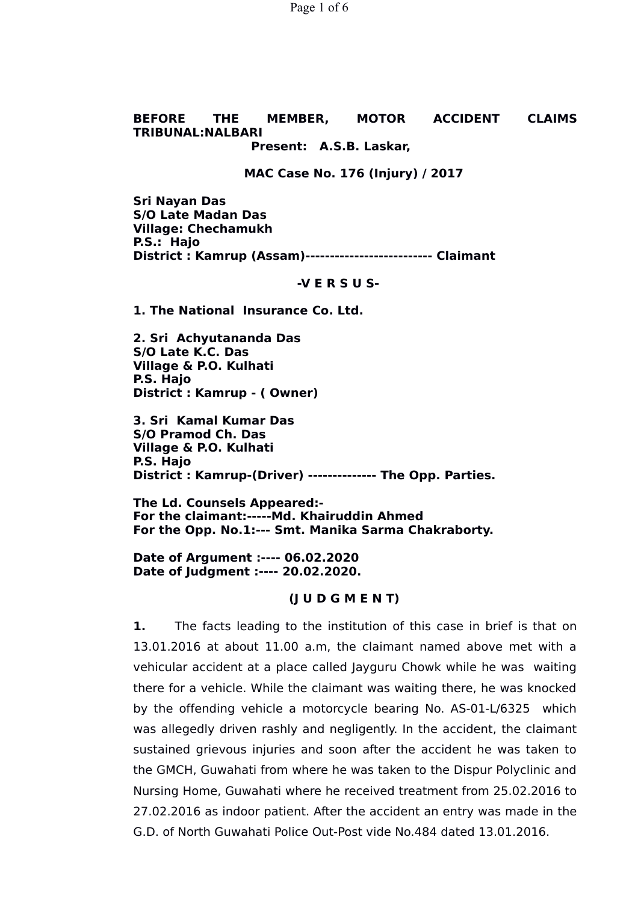Page 1 of 6

# **BEFORE THE MEMBER, MOTOR ACCIDENT CLAIMS TRIBUNAL:NALBARI**

# **Present: A.S.B. Laskar,**

#### **MAC Case No. 176 (Injury) / 2017**

**Sri Nayan Das S/O Late Madan Das Village: Chechamukh P.S.: Hajo District : Kamrup (Assam)-------------------------- Claimant** 

#### **-V E R S U S-**

**1. The National Insurance Co. Ltd.**

**2. Sri Achyutananda Das S/O Late K.C. Das Village & P.O. Kulhati P.S. Hajo District : Kamrup - ( Owner)**

**3. Sri Kamal Kumar Das S/O Pramod Ch. Das Village & P.O. Kulhati P.S. Hajo District : Kamrup-(Driver) -------------- The Opp. Parties.**

**The Ld. Counsels Appeared:- For the claimant:-----Md. Khairuddin Ahmed For the Opp. No.1:--- Smt. Manika Sarma Chakraborty.**

**Date of Argument :---- 06.02.2020 Date of Judgment :---- 20.02.2020.**

#### **(J U D G M E N T)**

**1.** The facts leading to the institution of this case in brief is that on 13.01.2016 at about 11.00 a.m, the claimant named above met with a vehicular accident at a place called Jayguru Chowk while he was waiting there for a vehicle. While the claimant was waiting there, he was knocked by the offending vehicle a motorcycle bearing No. AS-01-L/6325 which was allegedly driven rashly and negligently. In the accident, the claimant sustained grievous injuries and soon after the accident he was taken to the GMCH, Guwahati from where he was taken to the Dispur Polyclinic and Nursing Home, Guwahati where he received treatment from 25.02.2016 to 27.02.2016 as indoor patient. After the accident an entry was made in the G.D. of North Guwahati Police Out-Post vide No.484 dated 13.01.2016.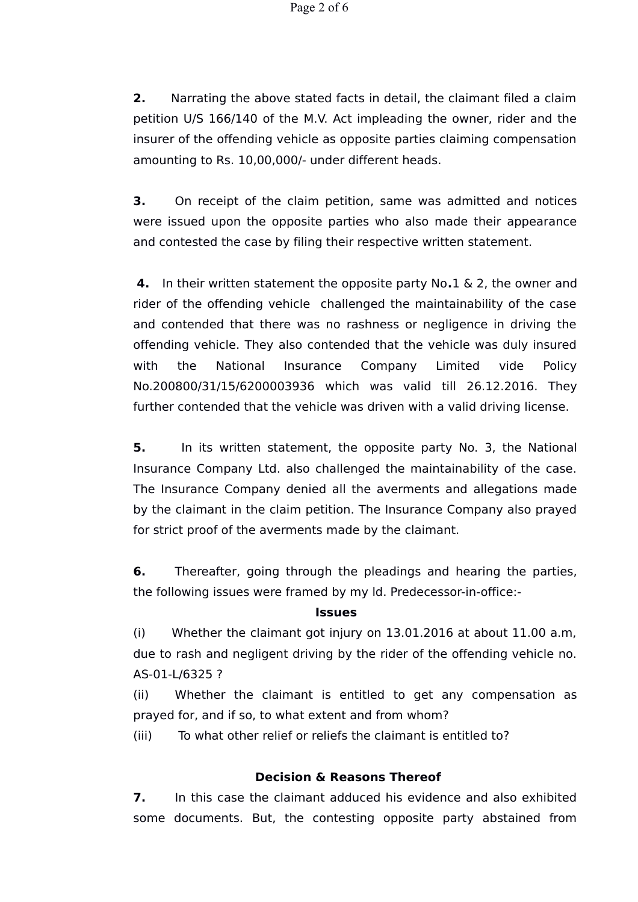**2.** Narrating the above stated facts in detail, the claimant filed a claim petition U/S 166/140 of the M.V. Act impleading the owner, rider and the insurer of the offending vehicle as opposite parties claiming compensation amounting to Rs. 10,00,000/- under different heads.

**3.** On receipt of the claim petition, same was admitted and notices were issued upon the opposite parties who also made their appearance and contested the case by filing their respective written statement.

**4.** In their written statement the opposite party No**.**1 & 2, the owner and rider of the offending vehicle challenged the maintainability of the case and contended that there was no rashness or negligence in driving the offending vehicle. They also contended that the vehicle was duly insured with the National Insurance Company Limited vide Policy No.200800/31/15/6200003936 which was valid till 26.12.2016. They further contended that the vehicle was driven with a valid driving license.

**5.** In its written statement, the opposite party No. 3, the National Insurance Company Ltd. also challenged the maintainability of the case. The Insurance Company denied all the averments and allegations made by the claimant in the claim petition. The Insurance Company also prayed for strict proof of the averments made by the claimant.

**6.** Thereafter, going through the pleadings and hearing the parties, the following issues were framed by my ld. Predecessor-in-office:-

## **Issues**

(i) Whether the claimant got injury on 13.01.2016 at about 11.00 a.m, due to rash and negligent driving by the rider of the offending vehicle no. AS-01-L/6325 ?

(ii) Whether the claimant is entitled to get any compensation as prayed for, and if so, to what extent and from whom?

(iii) To what other relief or reliefs the claimant is entitled to?

# **Decision & Reasons Thereof**

**7.** In this case the claimant adduced his evidence and also exhibited some documents. But, the contesting opposite party abstained from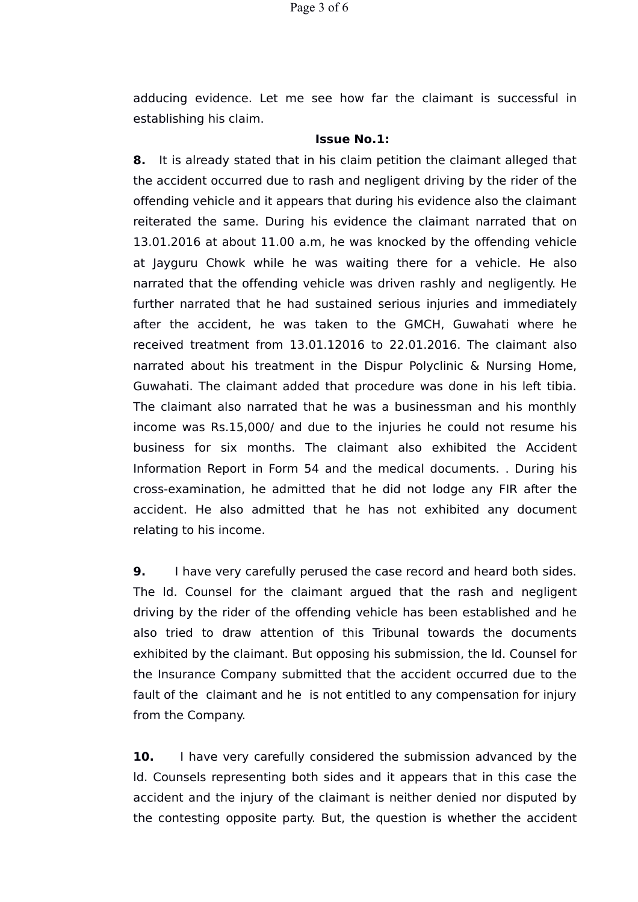adducing evidence. Let me see how far the claimant is successful in establishing his claim.

## **Issue No.1:**

**8.** It is already stated that in his claim petition the claimant alleged that the accident occurred due to rash and negligent driving by the rider of the offending vehicle and it appears that during his evidence also the claimant reiterated the same. During his evidence the claimant narrated that on 13.01.2016 at about 11.00 a.m, he was knocked by the offending vehicle at Jayguru Chowk while he was waiting there for a vehicle. He also narrated that the offending vehicle was driven rashly and negligently. He further narrated that he had sustained serious injuries and immediately after the accident, he was taken to the GMCH, Guwahati where he received treatment from 13.01.12016 to 22.01.2016. The claimant also narrated about his treatment in the Dispur Polyclinic & Nursing Home, Guwahati. The claimant added that procedure was done in his left tibia. The claimant also narrated that he was a businessman and his monthly income was Rs.15,000/ and due to the injuries he could not resume his business for six months. The claimant also exhibited the Accident Information Report in Form 54 and the medical documents. . During his cross-examination, he admitted that he did not lodge any FIR after the accident. He also admitted that he has not exhibited any document relating to his income.

**9.** I have very carefully perused the case record and heard both sides. The ld. Counsel for the claimant argued that the rash and negligent driving by the rider of the offending vehicle has been established and he also tried to draw attention of this Tribunal towards the documents exhibited by the claimant. But opposing his submission, the ld. Counsel for the Insurance Company submitted that the accident occurred due to the fault of the claimant and he is not entitled to any compensation for injury from the Company.

**10.** I have very carefully considered the submission advanced by the ld. Counsels representing both sides and it appears that in this case the accident and the injury of the claimant is neither denied nor disputed by the contesting opposite party. But, the question is whether the accident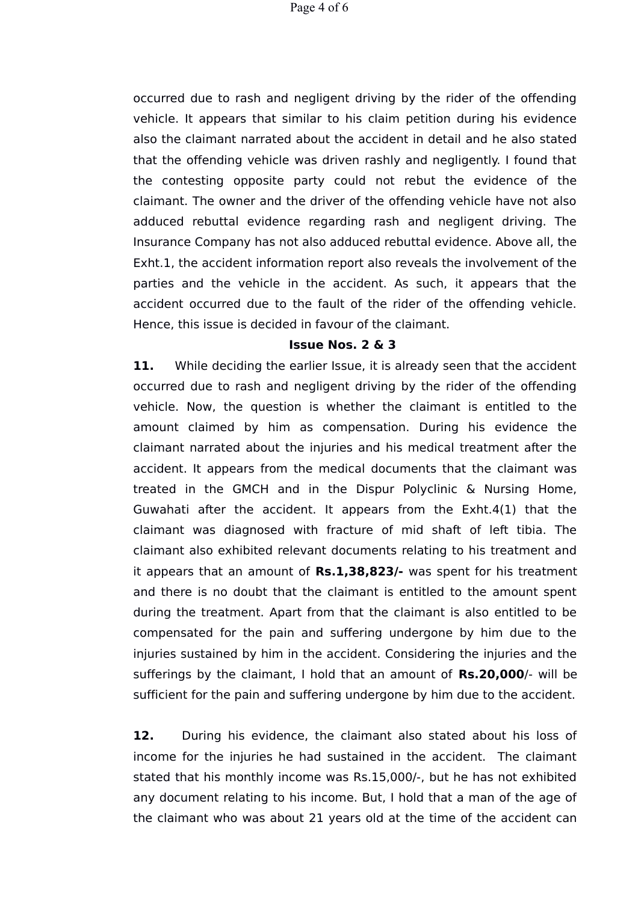occurred due to rash and negligent driving by the rider of the offending vehicle. It appears that similar to his claim petition during his evidence also the claimant narrated about the accident in detail and he also stated that the offending vehicle was driven rashly and negligently. I found that the contesting opposite party could not rebut the evidence of the claimant. The owner and the driver of the offending vehicle have not also adduced rebuttal evidence regarding rash and negligent driving. The Insurance Company has not also adduced rebuttal evidence. Above all, the Exht.1, the accident information report also reveals the involvement of the parties and the vehicle in the accident. As such, it appears that the accident occurred due to the fault of the rider of the offending vehicle. Hence, this issue is decided in favour of the claimant.

### **Issue Nos. 2 & 3**

**11.** While deciding the earlier Issue, it is already seen that the accident occurred due to rash and negligent driving by the rider of the offending vehicle. Now, the question is whether the claimant is entitled to the amount claimed by him as compensation. During his evidence the claimant narrated about the injuries and his medical treatment after the accident. It appears from the medical documents that the claimant was treated in the GMCH and in the Dispur Polyclinic & Nursing Home, Guwahati after the accident. It appears from the Exht.4(1) that the claimant was diagnosed with fracture of mid shaft of left tibia. The claimant also exhibited relevant documents relating to his treatment and it appears that an amount of **Rs.1,38,823/-** was spent for his treatment and there is no doubt that the claimant is entitled to the amount spent during the treatment. Apart from that the claimant is also entitled to be compensated for the pain and suffering undergone by him due to the injuries sustained by him in the accident. Considering the injuries and the sufferings by the claimant, I hold that an amount of **Rs.20,000**/- will be sufficient for the pain and suffering undergone by him due to the accident.

**12.** During his evidence, the claimant also stated about his loss of income for the injuries he had sustained in the accident. The claimant stated that his monthly income was Rs.15,000/-, but he has not exhibited any document relating to his income. But, I hold that a man of the age of the claimant who was about 21 years old at the time of the accident can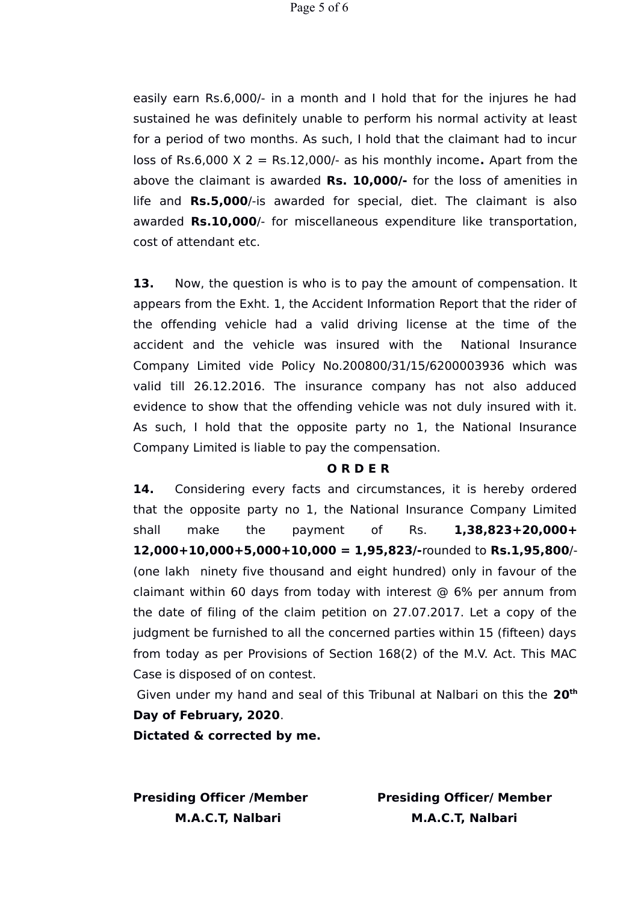easily earn Rs.6,000/- in a month and I hold that for the injures he had sustained he was definitely unable to perform his normal activity at least for a period of two months. As such, I hold that the claimant had to incur loss of Rs.6,000 X 2 = Rs.12,000/- as his monthly income**.** Apart from the above the claimant is awarded **Rs. 10,000/-** for the loss of amenities in life and **Rs.5,000**/-is awarded for special, diet. The claimant is also awarded **Rs.10,000**/- for miscellaneous expenditure like transportation, cost of attendant etc.

**13.** Now, the question is who is to pay the amount of compensation. It appears from the Exht. 1, the Accident Information Report that the rider of the offending vehicle had a valid driving license at the time of the accident and the vehicle was insured with the National Insurance Company Limited vide Policy No.200800/31/15/6200003936 which was valid till 26.12.2016. The insurance company has not also adduced evidence to show that the offending vehicle was not duly insured with it. As such, I hold that the opposite party no 1, the National Insurance Company Limited is liable to pay the compensation.

#### **O R D E R**

**14.** Considering every facts and circumstances, it is hereby ordered that the opposite party no 1, the National Insurance Company Limited shall make the payment of Rs. **1,38,823+20,000+ 12,000+10,000+5,000+10,000 = 1,95,823/-**rounded to **Rs.1,95,800**/- (one lakh ninety five thousand and eight hundred) only in favour of the claimant within 60 days from today with interest  $\omega$  6% per annum from the date of filing of the claim petition on 27.07.2017. Let a copy of the judgment be furnished to all the concerned parties within 15 (fifteen) days from today as per Provisions of Section 168(2) of the M.V. Act. This MAC Case is disposed of on contest.

Given under my hand and seal of this Tribunal at Nalbari on this the **20th Day of February, 2020**.

**Dictated & corrected by me.** 

**Presiding Officer /Member Presiding Officer/ Member M.A.C.T, Nalbari M.A.C.T, Nalbari**